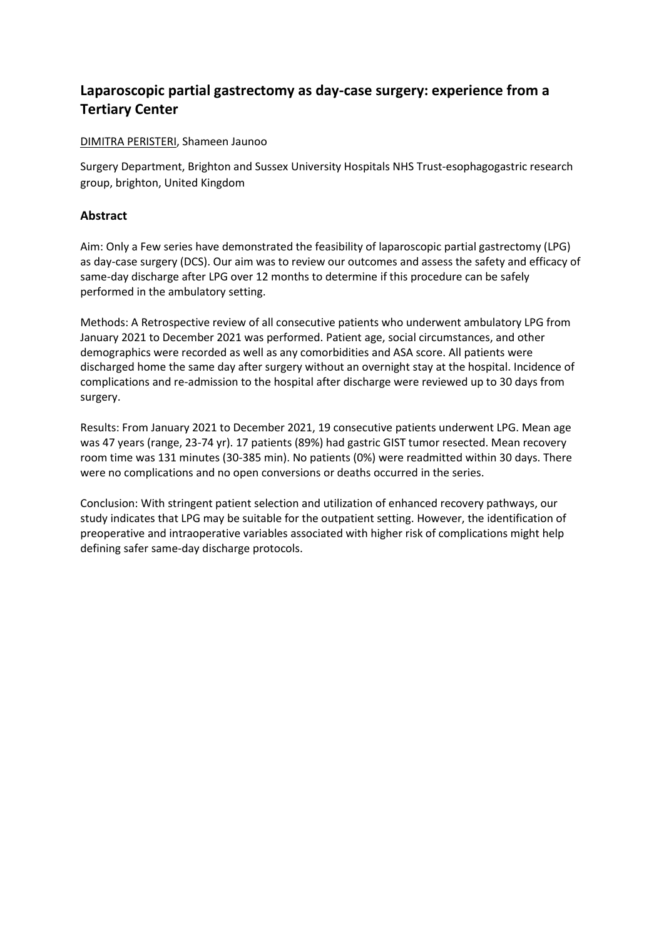# **Laparoscopic partial gastrectomy as day-case surgery: experience from a Tertiary Center**

## DIMITRA PERISTERI, Shameen Jaunoo

Surgery Department, Brighton and Sussex University Hospitals NHS Trust-esophagogastric research group, brighton, United Kingdom

## **Abstract**

Aim: Only a Few series have demonstrated the feasibility of laparoscopic partial gastrectomy (LPG) as day-case surgery (DCS). Our aim was to review our outcomes and assess the safety and efficacy of same-day discharge after LPG over 12 months to determine if this procedure can be safely performed in the ambulatory setting.

Methods: A Retrospective review of all consecutive patients who underwent ambulatory LPG from January 2021 to December 2021 was performed. Patient age, social circumstances, and other demographics were recorded as well as any comorbidities and ASA score. All patients were discharged home the same day after surgery without an overnight stay at the hospital. Incidence of complications and re-admission to the hospital after discharge were reviewed up to 30 days from surgery.

Results: From January 2021 to December 2021, 19 consecutive patients underwent LPG. Mean age was 47 years (range, 23-74 yr). 17 patients (89%) had gastric GIST tumor resected. Mean recovery room time was 131 minutes (30-385 min). No patients (0%) were readmitted within 30 days. There were no complications and no open conversions or deaths occurred in the series.

Conclusion: With stringent patient selection and utilization of enhanced recovery pathways, our study indicates that LPG may be suitable for the outpatient setting. However, the identification of preoperative and intraoperative variables associated with higher risk of complications might help defining safer same-day discharge protocols.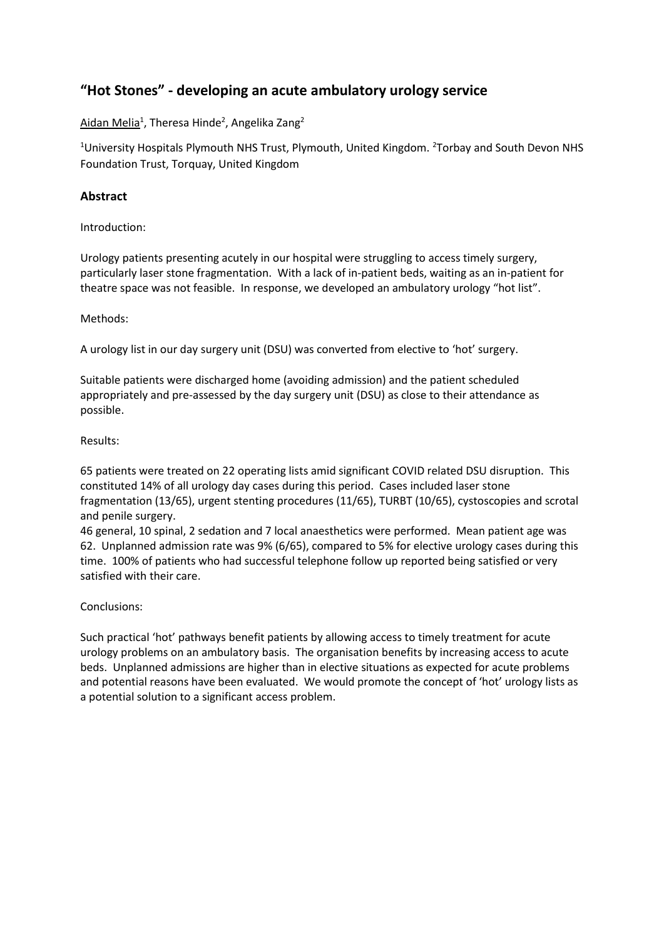# **"Hot Stones" - developing an acute ambulatory urology service**

Aidan Melia<sup>1</sup>, Theresa Hinde<sup>2</sup>, Angelika Zang<sup>2</sup>

<sup>1</sup>University Hospitals Plymouth NHS Trust, Plymouth, United Kingdom. <sup>2</sup>Torbay and South Devon NHS Foundation Trust, Torquay, United Kingdom

## **Abstract**

Introduction:

Urology patients presenting acutely in our hospital were struggling to access timely surgery, particularly laser stone fragmentation. With a lack of in-patient beds, waiting as an in-patient for theatre space was not feasible. In response, we developed an ambulatory urology "hot list".

### Methods:

A urology list in our day surgery unit (DSU) was converted from elective to 'hot' surgery.

Suitable patients were discharged home (avoiding admission) and the patient scheduled appropriately and pre-assessed by the day surgery unit (DSU) as close to their attendance as possible.

### Results:

65 patients were treated on 22 operating lists amid significant COVID related DSU disruption. This constituted 14% of all urology day cases during this period. Cases included laser stone fragmentation (13/65), urgent stenting procedures (11/65), TURBT (10/65), cystoscopies and scrotal and penile surgery.

46 general, 10 spinal, 2 sedation and 7 local anaesthetics were performed. Mean patient age was 62. Unplanned admission rate was 9% (6/65), compared to 5% for elective urology cases during this time. 100% of patients who had successful telephone follow up reported being satisfied or very satisfied with their care.

#### Conclusions:

Such practical 'hot' pathways benefit patients by allowing access to timely treatment for acute urology problems on an ambulatory basis. The organisation benefits by increasing access to acute beds. Unplanned admissions are higher than in elective situations as expected for acute problems and potential reasons have been evaluated. We would promote the concept of 'hot' urology lists as a potential solution to a significant access problem.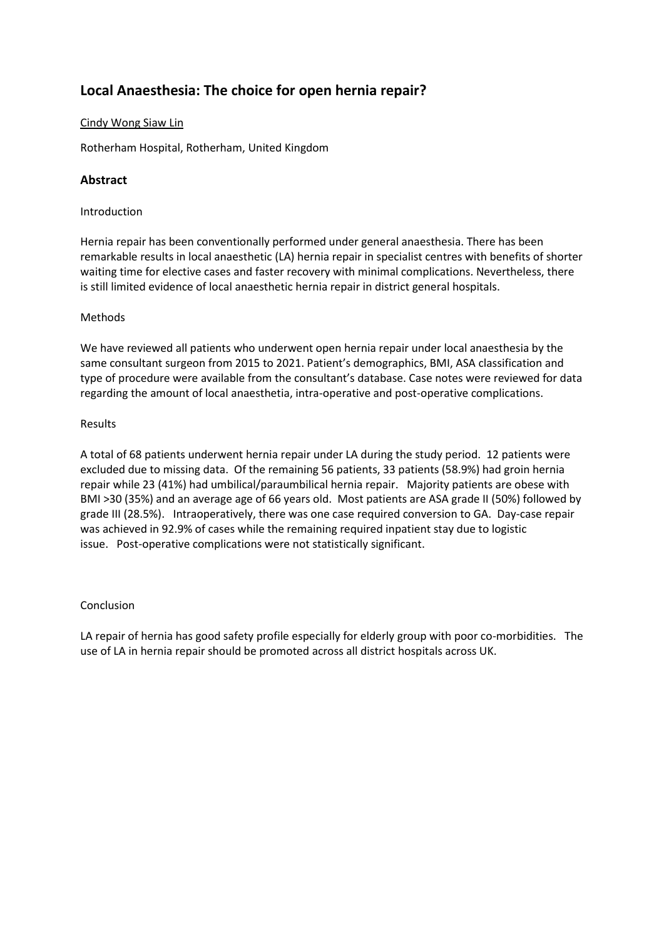# **Local Anaesthesia: The choice for open hernia repair?**

## Cindy Wong Siaw Lin

Rotherham Hospital, Rotherham, United Kingdom

## **Abstract**

### Introduction

Hernia repair has been conventionally performed under general anaesthesia. There has been remarkable results in local anaesthetic (LA) hernia repair in specialist centres with benefits of shorter waiting time for elective cases and faster recovery with minimal complications. Nevertheless, there is still limited evidence of local anaesthetic hernia repair in district general hospitals.

### Methods

We have reviewed all patients who underwent open hernia repair under local anaesthesia by the same consultant surgeon from 2015 to 2021. Patient's demographics, BMI, ASA classification and type of procedure were available from the consultant's database. Case notes were reviewed for data regarding the amount of local anaesthetia, intra-operative and post-operative complications.

#### Results

A total of 68 patients underwent hernia repair under LA during the study period. 12 patients were excluded due to missing data. Of the remaining 56 patients, 33 patients (58.9%) had groin hernia repair while 23 (41%) had umbilical/paraumbilical hernia repair. Majority patients are obese with BMI >30 (35%) and an average age of 66 years old. Most patients are ASA grade II (50%) followed by grade III (28.5%). Intraoperatively, there was one case required conversion to GA. Day-case repair was achieved in 92.9% of cases while the remaining required inpatient stay due to logistic issue. Post-operative complications were not statistically significant.

#### Conclusion

LA repair of hernia has good safety profile especially for elderly group with poor co-morbidities. The use of LA in hernia repair should be promoted across all district hospitals across UK.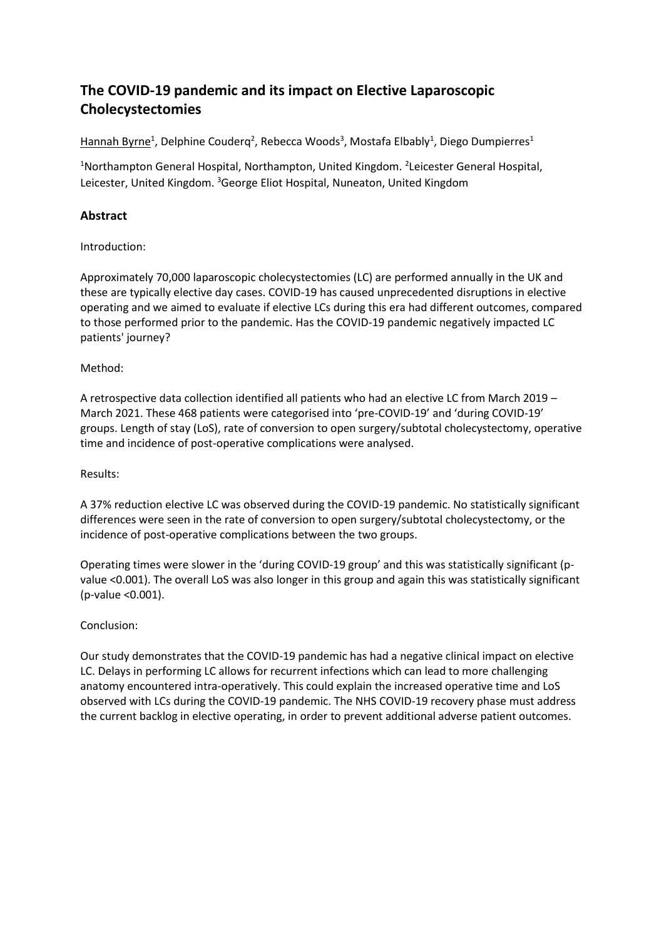# **The COVID-19 pandemic and its impact on Elective Laparoscopic Cholecystectomies**

Hannah Byrne<sup>1</sup>, Delphine Couderq<sup>2</sup>, Rebecca Woods<sup>3</sup>, Mostafa Elbably<sup>1</sup>, Diego Dumpierres<sup>1</sup>

<sup>1</sup>Northampton General Hospital, Northampton, United Kingdom. <sup>2</sup>Leicester General Hospital, Leicester, United Kingdom. <sup>3</sup>George Eliot Hospital, Nuneaton, United Kingdom

# **Abstract**

Introduction:

Approximately 70,000 laparoscopic cholecystectomies (LC) are performed annually in the UK and these are typically elective day cases. COVID-19 has caused unprecedented disruptions in elective operating and we aimed to evaluate if elective LCs during this era had different outcomes, compared to those performed prior to the pandemic. Has the COVID-19 pandemic negatively impacted LC patients' journey?

### Method:

A retrospective data collection identified all patients who had an elective LC from March 2019 – March 2021. These 468 patients were categorised into 'pre-COVID-19' and 'during COVID-19' groups. Length of stay (LoS), rate of conversion to open surgery/subtotal cholecystectomy, operative time and incidence of post-operative complications were analysed.

Results:

A 37% reduction elective LC was observed during the COVID-19 pandemic. No statistically significant differences were seen in the rate of conversion to open surgery/subtotal cholecystectomy, or the incidence of post-operative complications between the two groups.

Operating times were slower in the 'during COVID-19 group' and this was statistically significant (pvalue <0.001). The overall LoS was also longer in this group and again this was statistically significant (p-value <0.001).

## Conclusion:

Our study demonstrates that the COVID-19 pandemic has had a negative clinical impact on elective LC. Delays in performing LC allows for recurrent infections which can lead to more challenging anatomy encountered intra-operatively. This could explain the increased operative time and LoS observed with LCs during the COVID-19 pandemic. The NHS COVID-19 recovery phase must address the current backlog in elective operating, in order to prevent additional adverse patient outcomes.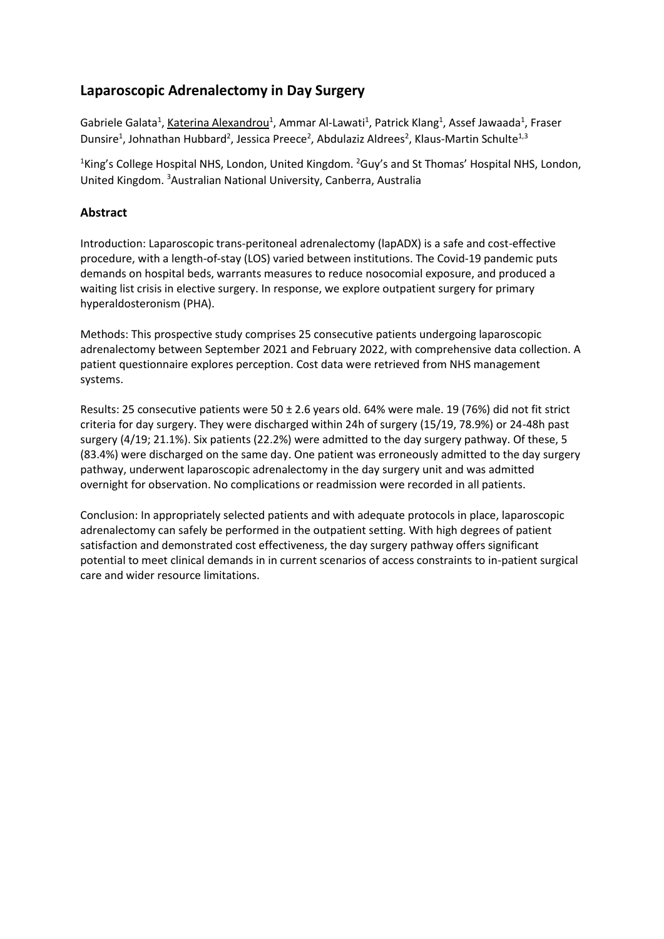# **Laparoscopic Adrenalectomy in Day Surgery**

Gabriele Galata<sup>1</sup>, Katerina Alexandrou<sup>1</sup>, Ammar Al-Lawati<sup>1</sup>, Patrick Klang<sup>1</sup>, Assef Jawaada<sup>1</sup>, Fraser Dunsire<sup>1</sup>, Johnathan Hubbard<sup>2</sup>, Jessica Preece<sup>2</sup>, Abdulaziz Aldrees<sup>2</sup>, Klaus-Martin Schulte<sup>1,3</sup>

<sup>1</sup>King's College Hospital NHS, London, United Kingdom. <sup>2</sup>Guy's and St Thomas' Hospital NHS, London, United Kingdom. <sup>3</sup>Australian National University, Canberra, Australia

## **Abstract**

Introduction: Laparoscopic trans-peritoneal adrenalectomy (lapADX) is a safe and cost-effective procedure, with a length-of-stay (LOS) varied between institutions. The Covid-19 pandemic puts demands on hospital beds, warrants measures to reduce nosocomial exposure, and produced a waiting list crisis in elective surgery. In response, we explore outpatient surgery for primary hyperaldosteronism (PHA).

Methods: This prospective study comprises 25 consecutive patients undergoing laparoscopic adrenalectomy between September 2021 and February 2022, with comprehensive data collection. A patient questionnaire explores perception. Cost data were retrieved from NHS management systems.

Results: 25 consecutive patients were 50 ± 2.6 years old. 64% were male. 19 (76%) did not fit strict criteria for day surgery. They were discharged within 24h of surgery (15/19, 78.9%) or 24-48h past surgery (4/19; 21.1%). Six patients (22.2%) were admitted to the day surgery pathway. Of these, 5 (83.4%) were discharged on the same day. One patient was erroneously admitted to the day surgery pathway, underwent laparoscopic adrenalectomy in the day surgery unit and was admitted overnight for observation. No complications or readmission were recorded in all patients.

Conclusion: In appropriately selected patients and with adequate protocols in place, laparoscopic adrenalectomy can safely be performed in the outpatient setting. With high degrees of patient satisfaction and demonstrated cost effectiveness, the day surgery pathway offers significant potential to meet clinical demands in in current scenarios of access constraints to in-patient surgical care and wider resource limitations.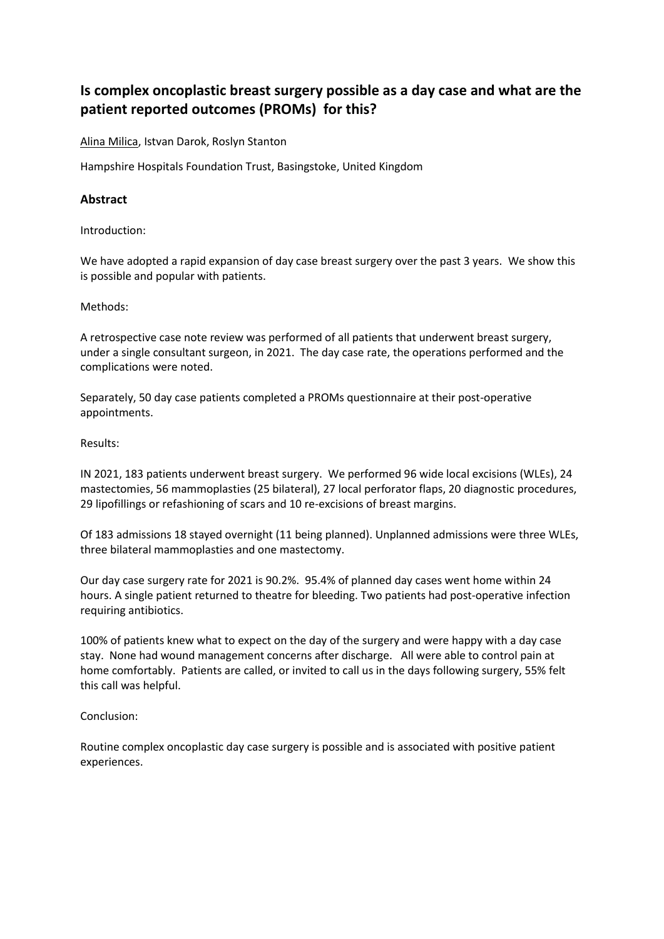# **Is complex oncoplastic breast surgery possible as a day case and what are the patient reported outcomes (PROMs) for this?**

Alina Milica, Istvan Darok, Roslyn Stanton

Hampshire Hospitals Foundation Trust, Basingstoke, United Kingdom

## **Abstract**

Introduction:

We have adopted a rapid expansion of day case breast surgery over the past 3 years. We show this is possible and popular with patients.

Methods:

A retrospective case note review was performed of all patients that underwent breast surgery, under a single consultant surgeon, in 2021. The day case rate, the operations performed and the complications were noted.

Separately, 50 day case patients completed a PROMs questionnaire at their post-operative appointments.

#### Results:

IN 2021, 183 patients underwent breast surgery. We performed 96 wide local excisions (WLEs), 24 mastectomies, 56 mammoplasties (25 bilateral), 27 local perforator flaps, 20 diagnostic procedures, 29 lipofillings or refashioning of scars and 10 re-excisions of breast margins.

Of 183 admissions 18 stayed overnight (11 being planned). Unplanned admissions were three WLEs, three bilateral mammoplasties and one mastectomy.

Our day case surgery rate for 2021 is 90.2%. 95.4% of planned day cases went home within 24 hours. A single patient returned to theatre for bleeding. Two patients had post-operative infection requiring antibiotics.

100% of patients knew what to expect on the day of the surgery and were happy with a day case stay. None had wound management concerns after discharge. All were able to control pain at home comfortably. Patients are called, or invited to call us in the days following surgery, 55% felt this call was helpful.

#### Conclusion:

Routine complex oncoplastic day case surgery is possible and is associated with positive patient experiences.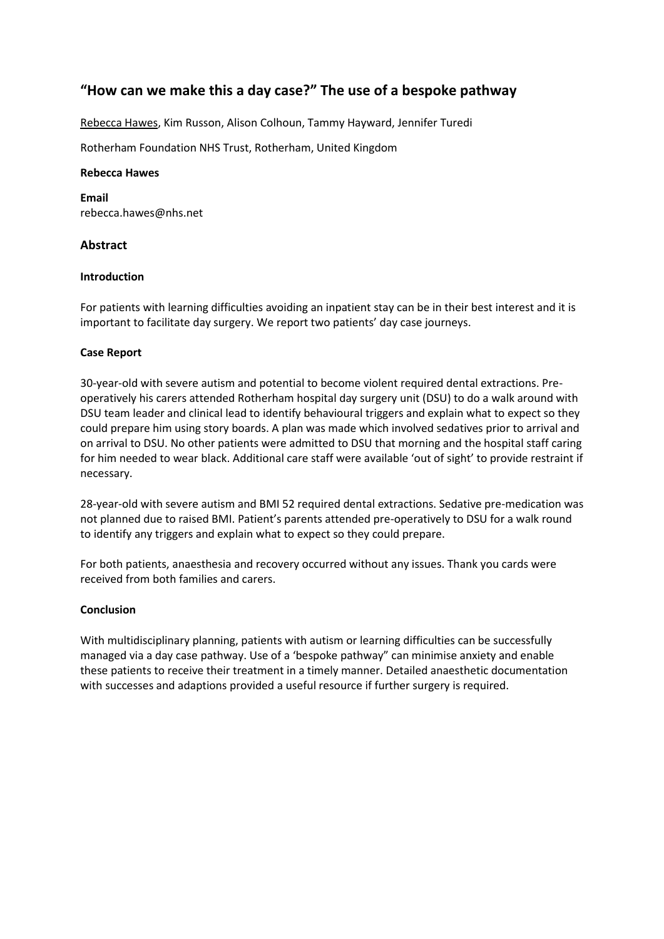# **"How can we make this a day case?" The use of a bespoke pathway**

Rebecca Hawes, Kim Russon, Alison Colhoun, Tammy Hayward, Jennifer Turedi

Rotherham Foundation NHS Trust, Rotherham, United Kingdom

#### **Rebecca Hawes**

**Email** rebecca.hawes@nhs.net

### **Abstract**

#### **Introduction**

For patients with learning difficulties avoiding an inpatient stay can be in their best interest and it is important to facilitate day surgery. We report two patients' day case journeys.

#### **Case Report**

30-year-old with severe autism and potential to become violent required dental extractions. Preoperatively his carers attended Rotherham hospital day surgery unit (DSU) to do a walk around with DSU team leader and clinical lead to identify behavioural triggers and explain what to expect so they could prepare him using story boards. A plan was made which involved sedatives prior to arrival and on arrival to DSU. No other patients were admitted to DSU that morning and the hospital staff caring for him needed to wear black. Additional care staff were available 'out of sight' to provide restraint if necessary.

28-year-old with severe autism and BMI 52 required dental extractions. Sedative pre-medication was not planned due to raised BMI. Patient's parents attended pre-operatively to DSU for a walk round to identify any triggers and explain what to expect so they could prepare.

For both patients, anaesthesia and recovery occurred without any issues. Thank you cards were received from both families and carers.

#### **Conclusion**

With multidisciplinary planning, patients with autism or learning difficulties can be successfully managed via a day case pathway. Use of a 'bespoke pathway" can minimise anxiety and enable these patients to receive their treatment in a timely manner. Detailed anaesthetic documentation with successes and adaptions provided a useful resource if further surgery is required.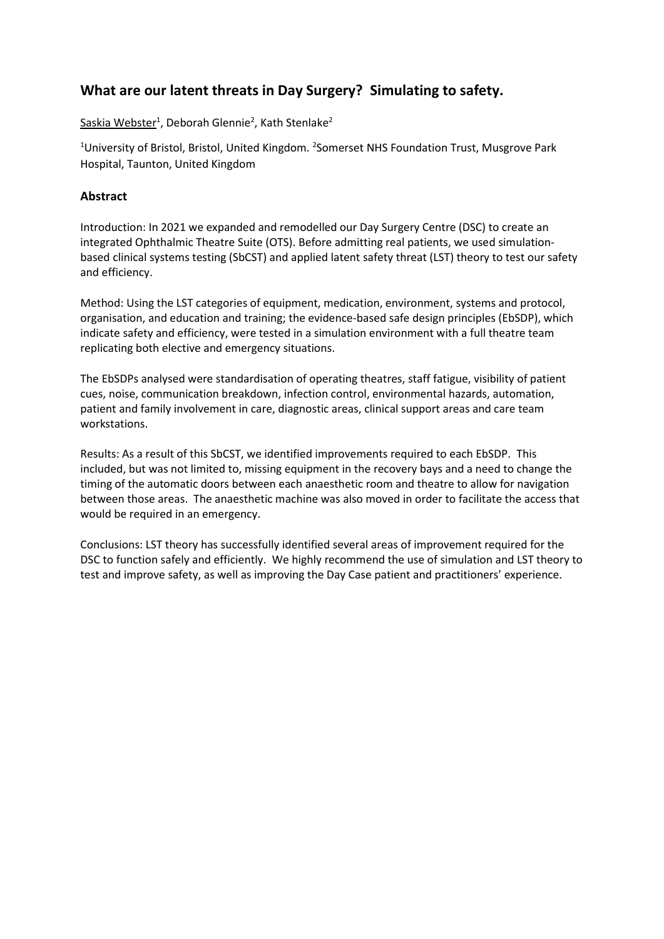# **What are our latent threats in Day Surgery? Simulating to safety.**

Saskia Webster<sup>1</sup>, Deborah Glennie<sup>2</sup>, Kath Stenlake<sup>2</sup>

<sup>1</sup>University of Bristol, Bristol, United Kingdom. <sup>2</sup>Somerset NHS Foundation Trust, Musgrove Park Hospital, Taunton, United Kingdom

## **Abstract**

Introduction: In 2021 we expanded and remodelled our Day Surgery Centre (DSC) to create an integrated Ophthalmic Theatre Suite (OTS). Before admitting real patients, we used simulationbased clinical systems testing (SbCST) and applied latent safety threat (LST) theory to test our safety and efficiency.

Method: Using the LST categories of equipment, medication, environment, systems and protocol, organisation, and education and training; the evidence-based safe design principles (EbSDP), which indicate safety and efficiency, were tested in a simulation environment with a full theatre team replicating both elective and emergency situations.

The EbSDPs analysed were standardisation of operating theatres, staff fatigue, visibility of patient cues, noise, communication breakdown, infection control, environmental hazards, automation, patient and family involvement in care, diagnostic areas, clinical support areas and care team workstations.

Results: As a result of this SbCST, we identified improvements required to each EbSDP. This included, but was not limited to, missing equipment in the recovery bays and a need to change the timing of the automatic doors between each anaesthetic room and theatre to allow for navigation between those areas. The anaesthetic machine was also moved in order to facilitate the access that would be required in an emergency.

Conclusions: LST theory has successfully identified several areas of improvement required for the DSC to function safely and efficiently. We highly recommend the use of simulation and LST theory to test and improve safety, as well as improving the Day Case patient and practitioners' experience.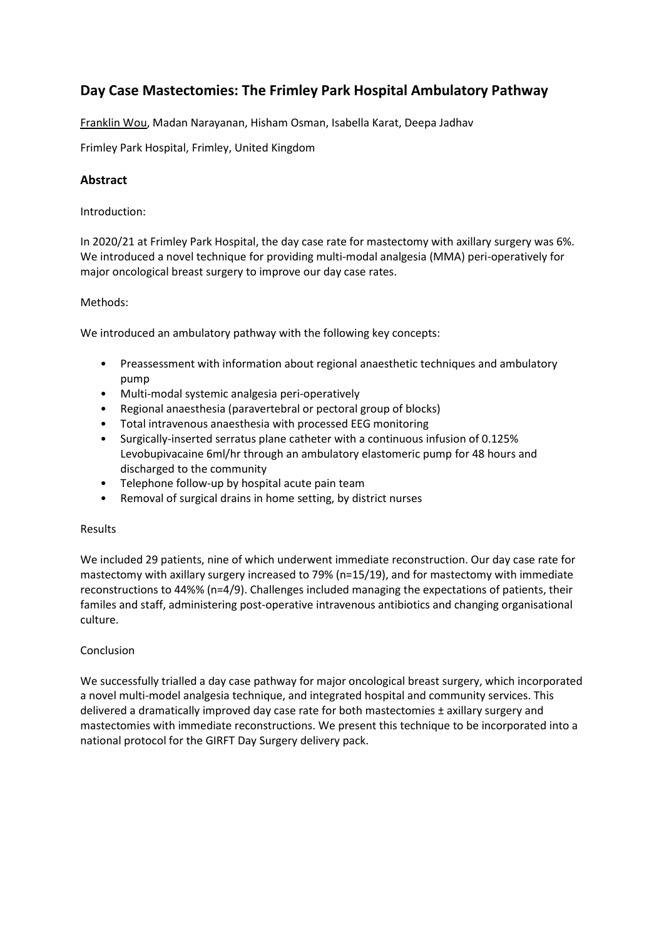# **Day Case Mastectomies: The Frimley Park Hospital Ambulatory Pathway**

Franklin Wou, Madan Narayanan, Hisham Osman, Isabella Karat, Deepa Jadhav

Frimley Park Hospital, Frimley, United Kingdom

## **Abstract**

Introduction:

In 2020/21 at Frimley Park Hospital, the day case rate for mastectomy with axillary surgery was 6%. We introduced a novel technique for providing multi-modal analgesia (MMA) peri-operatively for major oncological breast surgery to improve our day case rates.

### Methods:

We introduced an ambulatory pathway with the following key concepts:

- Preassessment with information about regional anaesthetic techniques and ambulatory pump
- Multi-modal systemic analgesia peri-operatively
- Regional anaesthesia (paravertebral or pectoral group of blocks)
- Total intravenous anaesthesia with processed EEG monitoring
- Surgically-inserted serratus plane catheter with a continuous infusion of 0.125% Levobupivacaine 6ml/hr through an ambulatory elastomeric pump for 48 hours and discharged to the community
- Telephone follow-up by hospital acute pain team
- Removal of surgical drains in home setting, by district nurses

#### Results

We included 29 patients, nine of which underwent immediate reconstruction. Our day case rate for mastectomy with axillary surgery increased to 79% (n=15/19), and for mastectomy with immediate reconstructions to 44%% (n=4/9). Challenges included managing the expectations of patients, their familes and staff, administering post-operative intravenous antibiotics and changing organisational culture.

#### Conclusion

We successfully trialled a day case pathway for major oncological breast surgery, which incorporated a novel multi-model analgesia technique, and integrated hospital and community services. This delivered a dramatically improved day case rate for both mastectomies ± axillary surgery and mastectomies with immediate reconstructions. We present this technique to be incorporated into a national protocol for the GIRFT Day Surgery delivery pack.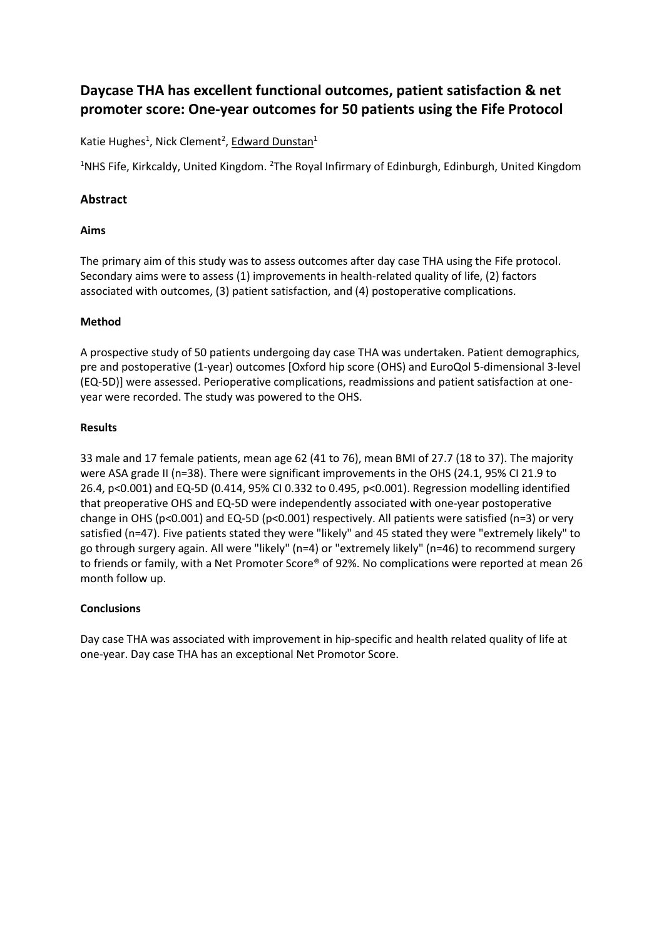# **Daycase THA has excellent functional outcomes, patient satisfaction & net promoter score: One-year outcomes for 50 patients using the Fife Protocol**

Katie Hughes<sup>1</sup>, Nick Clement<sup>2</sup>, Edward Dunstan<sup>1</sup>

<sup>1</sup>NHS Fife, Kirkcaldy, United Kingdom. <sup>2</sup>The Royal Infirmary of Edinburgh, Edinburgh, United Kingdom

## **Abstract**

## **Aims**

The primary aim of this study was to assess outcomes after day case THA using the Fife protocol. Secondary aims were to assess (1) improvements in health-related quality of life, (2) factors associated with outcomes, (3) patient satisfaction, and (4) postoperative complications.

## **Method**

A prospective study of 50 patients undergoing day case THA was undertaken. Patient demographics, pre and postoperative (1-year) outcomes [Oxford hip score (OHS) and EuroQol 5-dimensional 3-level (EQ-5D)] were assessed. Perioperative complications, readmissions and patient satisfaction at oneyear were recorded. The study was powered to the OHS.

### **Results**

33 male and 17 female patients, mean age 62 (41 to 76), mean BMI of 27.7 (18 to 37). The majority were ASA grade II (n=38). There were significant improvements in the OHS (24.1, 95% CI 21.9 to 26.4, p<0.001) and EQ-5D (0.414, 95% CI 0.332 to 0.495, p<0.001). Regression modelling identified that preoperative OHS and EQ-5D were independently associated with one-year postoperative change in OHS ( $p$ <0.001) and EQ-5D ( $p$ <0.001) respectively. All patients were satisfied ( $n=3$ ) or very satisfied (n=47). Five patients stated they were "likely" and 45 stated they were "extremely likely" to go through surgery again. All were "likely" (n=4) or "extremely likely" (n=46) to recommend surgery to friends or family, with a Net Promoter Score® of 92%. No complications were reported at mean 26 month follow up.

## **Conclusions**

Day case THA was associated with improvement in hip-specific and health related quality of life at one-year. Day case THA has an exceptional Net Promotor Score.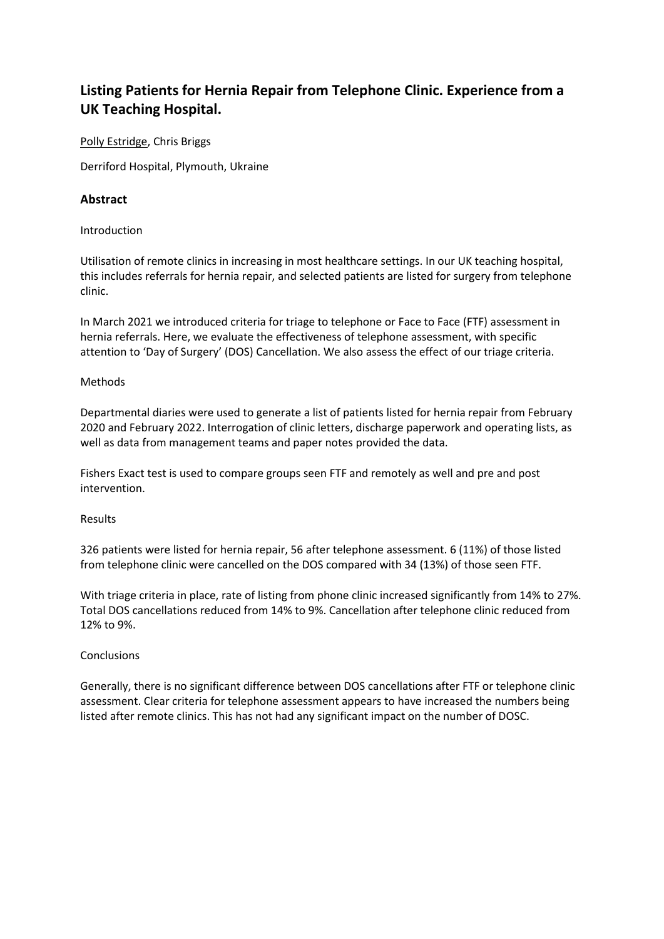# **Listing Patients for Hernia Repair from Telephone Clinic. Experience from a UK Teaching Hospital.**

Polly Estridge, Chris Briggs

Derriford Hospital, Plymouth, Ukraine

## **Abstract**

### Introduction

Utilisation of remote clinics in increasing in most healthcare settings. In our UK teaching hospital, this includes referrals for hernia repair, and selected patients are listed for surgery from telephone clinic.

In March 2021 we introduced criteria for triage to telephone or Face to Face (FTF) assessment in hernia referrals. Here, we evaluate the effectiveness of telephone assessment, with specific attention to 'Day of Surgery' (DOS) Cancellation. We also assess the effect of our triage criteria.

#### Methods

Departmental diaries were used to generate a list of patients listed for hernia repair from February 2020 and February 2022. Interrogation of clinic letters, discharge paperwork and operating lists, as well as data from management teams and paper notes provided the data.

Fishers Exact test is used to compare groups seen FTF and remotely as well and pre and post intervention.

#### Results

326 patients were listed for hernia repair, 56 after telephone assessment. 6 (11%) of those listed from telephone clinic were cancelled on the DOS compared with 34 (13%) of those seen FTF.

With triage criteria in place, rate of listing from phone clinic increased significantly from 14% to 27%. Total DOS cancellations reduced from 14% to 9%. Cancellation after telephone clinic reduced from 12% to 9%.

#### Conclusions

Generally, there is no significant difference between DOS cancellations after FTF or telephone clinic assessment. Clear criteria for telephone assessment appears to have increased the numbers being listed after remote clinics. This has not had any significant impact on the number of DOSC.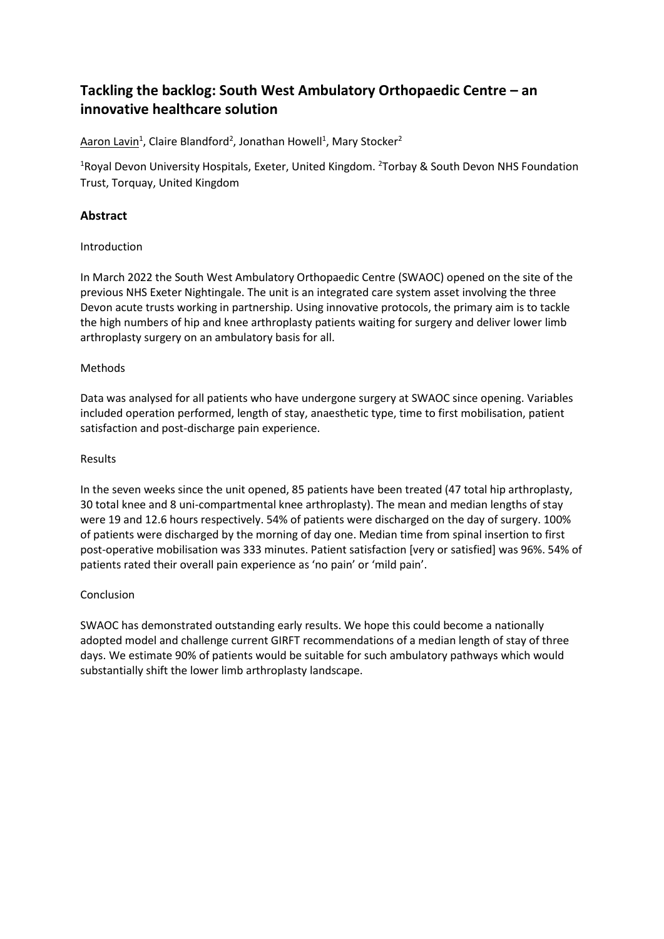# **Tackling the backlog: South West Ambulatory Orthopaedic Centre – an innovative healthcare solution**

Aaron Lavin<sup>1</sup>, Claire Blandford<sup>2</sup>, Jonathan Howell<sup>1</sup>, Mary Stocker<sup>2</sup>

<sup>1</sup>Royal Devon University Hospitals, Exeter, United Kingdom. <sup>2</sup>Torbay & South Devon NHS Foundation Trust, Torquay, United Kingdom

# **Abstract**

### Introduction

In March 2022 the South West Ambulatory Orthopaedic Centre (SWAOC) opened on the site of the previous NHS Exeter Nightingale. The unit is an integrated care system asset involving the three Devon acute trusts working in partnership. Using innovative protocols, the primary aim is to tackle the high numbers of hip and knee arthroplasty patients waiting for surgery and deliver lower limb arthroplasty surgery on an ambulatory basis for all.

### Methods

Data was analysed for all patients who have undergone surgery at SWAOC since opening. Variables included operation performed, length of stay, anaesthetic type, time to first mobilisation, patient satisfaction and post-discharge pain experience.

### Results

In the seven weeks since the unit opened, 85 patients have been treated (47 total hip arthroplasty, 30 total knee and 8 uni-compartmental knee arthroplasty). The mean and median lengths of stay were 19 and 12.6 hours respectively. 54% of patients were discharged on the day of surgery. 100% of patients were discharged by the morning of day one. Median time from spinal insertion to first post-operative mobilisation was 333 minutes. Patient satisfaction [very or satisfied] was 96%. 54% of patients rated their overall pain experience as 'no pain' or 'mild pain'.

## Conclusion

SWAOC has demonstrated outstanding early results. We hope this could become a nationally adopted model and challenge current GIRFT recommendations of a median length of stay of three days. We estimate 90% of patients would be suitable for such ambulatory pathways which would substantially shift the lower limb arthroplasty landscape.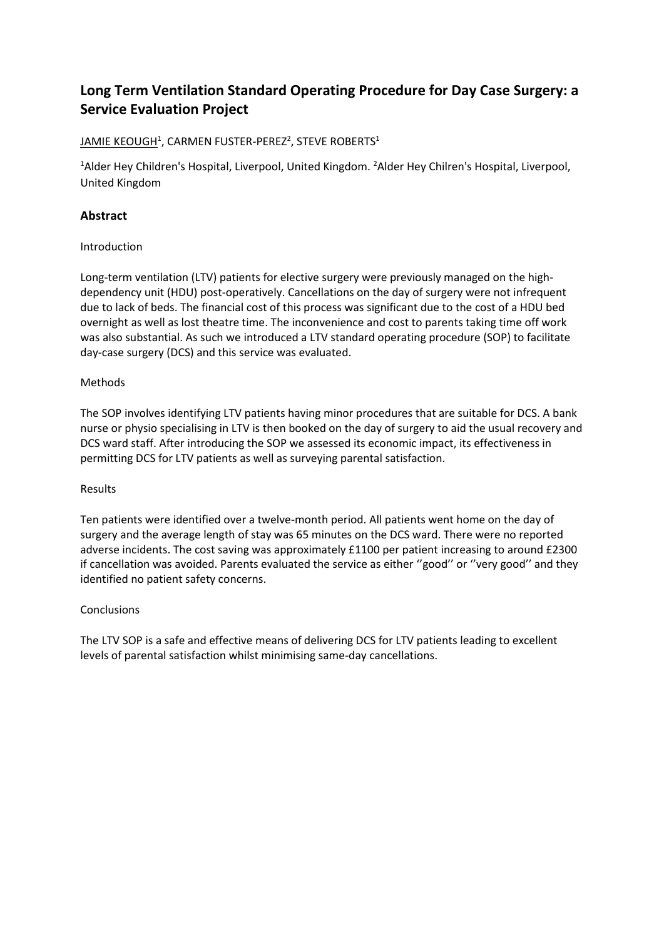# **Long Term Ventilation Standard Operating Procedure for Day Case Surgery: a Service Evaluation Project**

# <u>JAMIE KEOUGH</u><sup>1</sup>, CARMEN FUSTER-PEREZ<sup>2</sup>, STEVE ROBERTS<sup>1</sup>

<sup>1</sup>Alder Hey Children's Hospital, Liverpool, United Kingdom. <sup>2</sup>Alder Hey Chilren's Hospital, Liverpool, United Kingdom

# **Abstract**

## Introduction

Long-term ventilation (LTV) patients for elective surgery were previously managed on the highdependency unit (HDU) post-operatively. Cancellations on the day of surgery were not infrequent due to lack of beds. The financial cost of this process was significant due to the cost of a HDU bed overnight as well as lost theatre time. The inconvenience and cost to parents taking time off work was also substantial. As such we introduced a LTV standard operating procedure (SOP) to facilitate day-case surgery (DCS) and this service was evaluated.

### Methods

The SOP involves identifying LTV patients having minor procedures that are suitable for DCS. A bank nurse or physio specialising in LTV is then booked on the day of surgery to aid the usual recovery and DCS ward staff. After introducing the SOP we assessed its economic impact, its effectiveness in permitting DCS for LTV patients as well as surveying parental satisfaction.

#### Results

Ten patients were identified over a twelve-month period. All patients went home on the day of surgery and the average length of stay was 65 minutes on the DCS ward. There were no reported adverse incidents. The cost saving was approximately £1100 per patient increasing to around £2300 if cancellation was avoided. Parents evaluated the service as either ''good'' or ''very good'' and they identified no patient safety concerns.

#### **Conclusions**

The LTV SOP is a safe and effective means of delivering DCS for LTV patients leading to excellent levels of parental satisfaction whilst minimising same-day cancellations.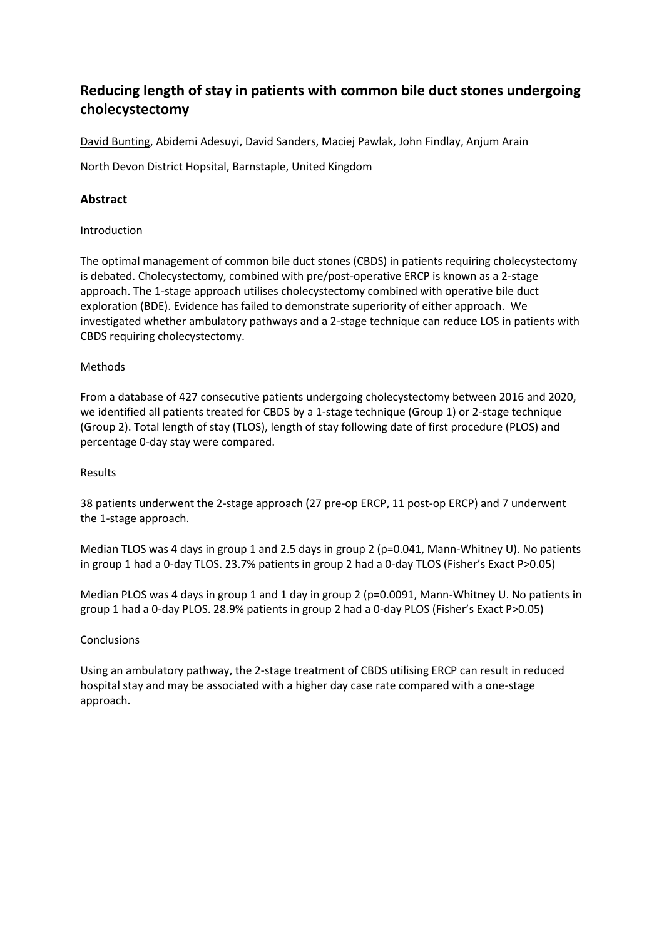# **Reducing length of stay in patients with common bile duct stones undergoing cholecystectomy**

David Bunting, Abidemi Adesuyi, David Sanders, Maciej Pawlak, John Findlay, Anjum Arain

North Devon District Hopsital, Barnstaple, United Kingdom

## **Abstract**

### Introduction

The optimal management of common bile duct stones (CBDS) in patients requiring cholecystectomy is debated. Cholecystectomy, combined with pre/post-operative ERCP is known as a 2-stage approach. The 1-stage approach utilises cholecystectomy combined with operative bile duct exploration (BDE). Evidence has failed to demonstrate superiority of either approach. We investigated whether ambulatory pathways and a 2-stage technique can reduce LOS in patients with CBDS requiring cholecystectomy.

#### Methods

From a database of 427 consecutive patients undergoing cholecystectomy between 2016 and 2020, we identified all patients treated for CBDS by a 1-stage technique (Group 1) or 2-stage technique (Group 2). Total length of stay (TLOS), length of stay following date of first procedure (PLOS) and percentage 0-day stay were compared.

#### Results

38 patients underwent the 2-stage approach (27 pre-op ERCP, 11 post-op ERCP) and 7 underwent the 1-stage approach.

Median TLOS was 4 days in group 1 and 2.5 days in group 2 (p=0.041, Mann-Whitney U). No patients in group 1 had a 0-day TLOS. 23.7% patients in group 2 had a 0-day TLOS (Fisher's Exact P>0.05)

Median PLOS was 4 days in group 1 and 1 day in group 2 (p=0.0091, Mann-Whitney U. No patients in group 1 had a 0-day PLOS. 28.9% patients in group 2 had a 0-day PLOS (Fisher's Exact P>0.05)

### **Conclusions**

Using an ambulatory pathway, the 2-stage treatment of CBDS utilising ERCP can result in reduced hospital stay and may be associated with a higher day case rate compared with a one-stage approach.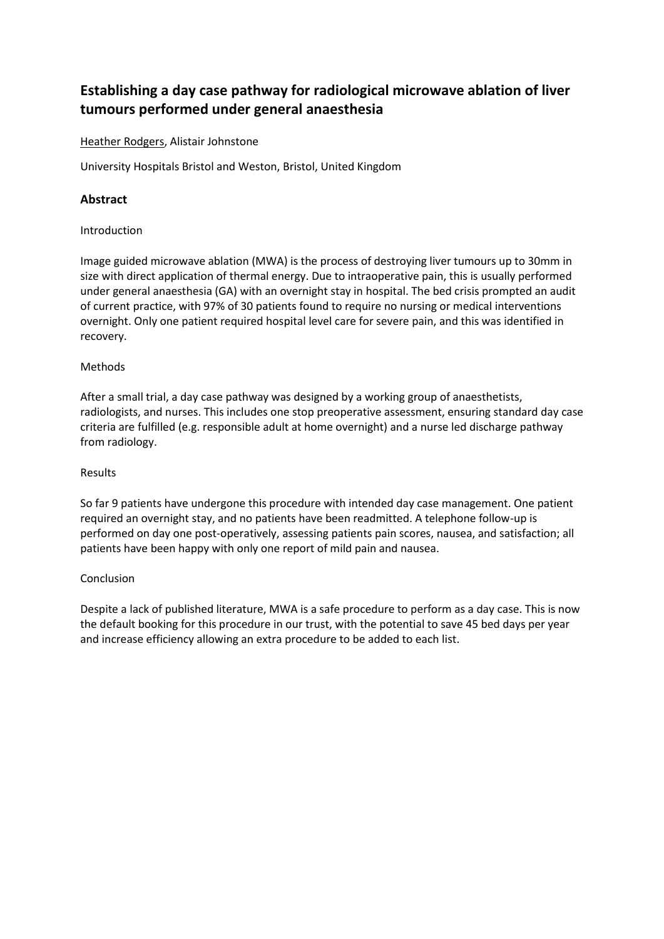# **Establishing a day case pathway for radiological microwave ablation of liver tumours performed under general anaesthesia**

### Heather Rodgers, Alistair Johnstone

University Hospitals Bristol and Weston, Bristol, United Kingdom

## **Abstract**

### Introduction

Image guided microwave ablation (MWA) is the process of destroying liver tumours up to 30mm in size with direct application of thermal energy. Due to intraoperative pain, this is usually performed under general anaesthesia (GA) with an overnight stay in hospital. The bed crisis prompted an audit of current practice, with 97% of 30 patients found to require no nursing or medical interventions overnight. Only one patient required hospital level care for severe pain, and this was identified in recovery.

### Methods

After a small trial, a day case pathway was designed by a working group of anaesthetists, radiologists, and nurses. This includes one stop preoperative assessment, ensuring standard day case criteria are fulfilled (e.g. responsible adult at home overnight) and a nurse led discharge pathway from radiology.

#### Results

So far 9 patients have undergone this procedure with intended day case management. One patient required an overnight stay, and no patients have been readmitted. A telephone follow-up is performed on day one post-operatively, assessing patients pain scores, nausea, and satisfaction; all patients have been happy with only one report of mild pain and nausea.

#### Conclusion

Despite a lack of published literature, MWA is a safe procedure to perform as a day case. This is now the default booking for this procedure in our trust, with the potential to save 45 bed days per year and increase efficiency allowing an extra procedure to be added to each list.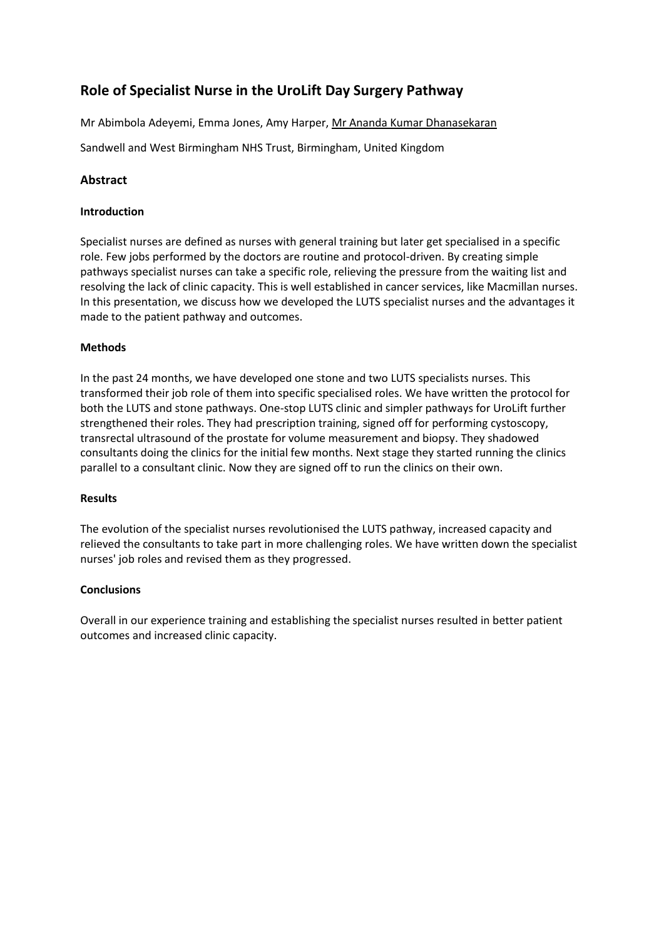# **Role of Specialist Nurse in the UroLift Day Surgery Pathway**

Mr Abimbola Adeyemi, Emma Jones, Amy Harper, Mr Ananda Kumar Dhanasekaran

Sandwell and West Birmingham NHS Trust, Birmingham, United Kingdom

## **Abstract**

#### **Introduction**

Specialist nurses are defined as nurses with general training but later get specialised in a specific role. Few jobs performed by the doctors are routine and protocol-driven. By creating simple pathways specialist nurses can take a specific role, relieving the pressure from the waiting list and resolving the lack of clinic capacity. This is well established in cancer services, like Macmillan nurses. In this presentation, we discuss how we developed the LUTS specialist nurses and the advantages it made to the patient pathway and outcomes.

#### **Methods**

In the past 24 months, we have developed one stone and two LUTS specialists nurses. This transformed their job role of them into specific specialised roles. We have written the protocol for both the LUTS and stone pathways. One-stop LUTS clinic and simpler pathways for UroLift further strengthened their roles. They had prescription training, signed off for performing cystoscopy, transrectal ultrasound of the prostate for volume measurement and biopsy. They shadowed consultants doing the clinics for the initial few months. Next stage they started running the clinics parallel to a consultant clinic. Now they are signed off to run the clinics on their own.

#### **Results**

The evolution of the specialist nurses revolutionised the LUTS pathway, increased capacity and relieved the consultants to take part in more challenging roles. We have written down the specialist nurses' job roles and revised them as they progressed.

#### **Conclusions**

Overall in our experience training and establishing the specialist nurses resulted in better patient outcomes and increased clinic capacity.